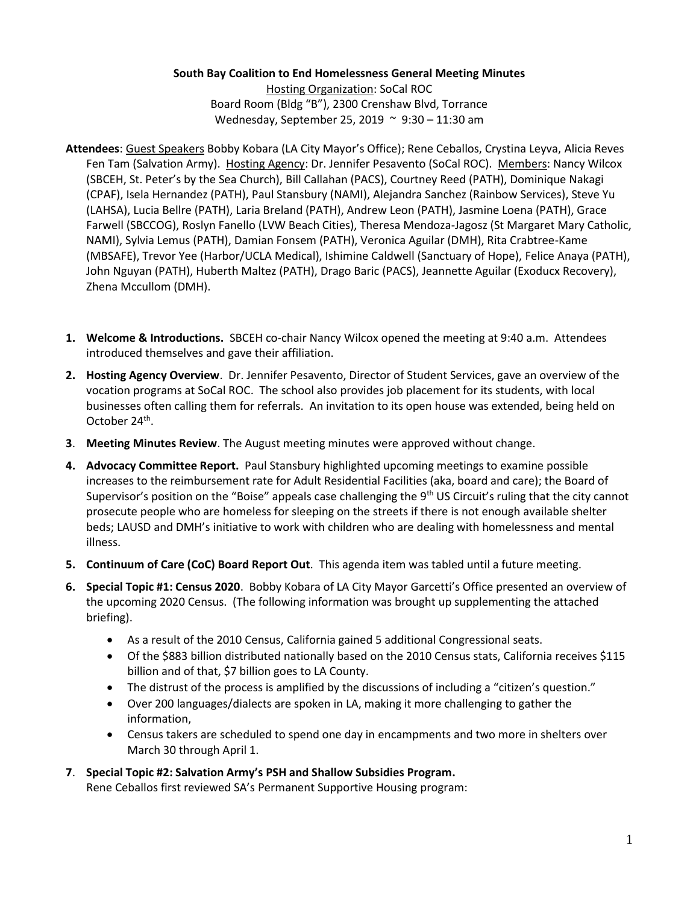## **South Bay Coalition to End Homelessness General Meeting Minutes**

Hosting Organization: SoCal ROC Board Room (Bldg "B"), 2300 Crenshaw Blvd, Torrance Wednesday, September 25, 2019 ~ 9:30 – 11:30 am

- **Attendees**: Guest Speakers Bobby Kobara (LA City Mayor's Office); Rene Ceballos, Crystina Leyva, Alicia Reves Fen Tam (Salvation Army). Hosting Agency: Dr. Jennifer Pesavento (SoCal ROC). Members: Nancy Wilcox (SBCEH, St. Peter's by the Sea Church), Bill Callahan (PACS), Courtney Reed (PATH), Dominique Nakagi (CPAF), Isela Hernandez (PATH), Paul Stansbury (NAMI), Alejandra Sanchez (Rainbow Services), Steve Yu (LAHSA), Lucia Bellre (PATH), Laria Breland (PATH), Andrew Leon (PATH), Jasmine Loena (PATH), Grace Farwell (SBCCOG), Roslyn Fanello (LVW Beach Cities), Theresa Mendoza-Jagosz (St Margaret Mary Catholic, NAMI), Sylvia Lemus (PATH), Damian Fonsem (PATH), Veronica Aguilar (DMH), Rita Crabtree-Kame (MBSAFE), Trevor Yee (Harbor/UCLA Medical), Ishimine Caldwell (Sanctuary of Hope), Felice Anaya (PATH), John Nguyan (PATH), Huberth Maltez (PATH), Drago Baric (PACS), Jeannette Aguilar (Exoducx Recovery), Zhena Mccullom (DMH).
- **1. Welcome & Introductions.** SBCEH co-chair Nancy Wilcox opened the meeting at 9:40 a.m. Attendees introduced themselves and gave their affiliation.
- **2. Hosting Agency Overview**. Dr. Jennifer Pesavento, Director of Student Services, gave an overview of the vocation programs at SoCal ROC. The school also provides job placement for its students, with local businesses often calling them for referrals. An invitation to its open house was extended, being held on October 24<sup>th</sup>.
- **3**. **Meeting Minutes Review**. The August meeting minutes were approved without change.
- **4. Advocacy Committee Report.** Paul Stansbury highlighted upcoming meetings to examine possible increases to the reimbursement rate for Adult Residential Facilities (aka, board and care); the Board of Supervisor's position on the "Boise" appeals case challenging the 9<sup>th</sup> US Circuit's ruling that the city cannot prosecute people who are homeless for sleeping on the streets if there is not enough available shelter beds; LAUSD and DMH's initiative to work with children who are dealing with homelessness and mental illness.
- **5. Continuum of Care (CoC) Board Report Out**. This agenda item was tabled until a future meeting.
- **6. Special Topic #1: Census 2020**. Bobby Kobara of LA City Mayor Garcetti's Office presented an overview of the upcoming 2020 Census. (The following information was brought up supplementing the attached briefing).
	- As a result of the 2010 Census, California gained 5 additional Congressional seats.
	- Of the \$883 billion distributed nationally based on the 2010 Census stats, California receives \$115 billion and of that, \$7 billion goes to LA County.
	- The distrust of the process is amplified by the discussions of including a "citizen's question."
	- Over 200 languages/dialects are spoken in LA, making it more challenging to gather the information,
	- Census takers are scheduled to spend one day in encampments and two more in shelters over March 30 through April 1.
- **7**. **Special Topic #2: Salvation Army's PSH and Shallow Subsidies Program.**  Rene Ceballos first reviewed SA's Permanent Supportive Housing program: